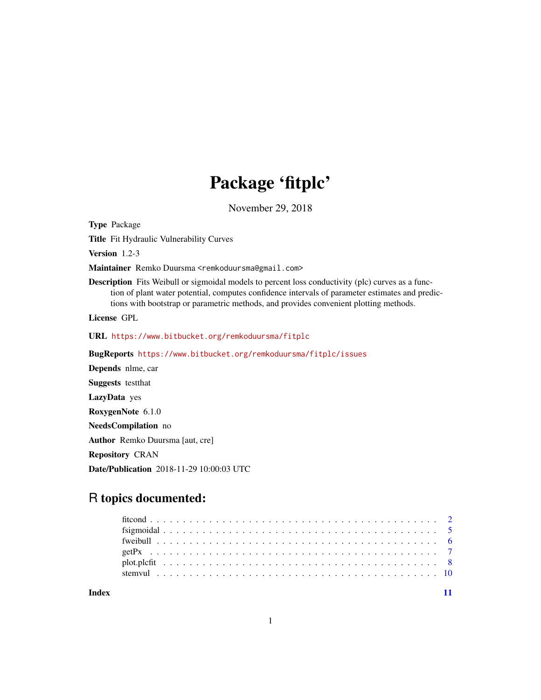## Package 'fitplc'

November 29, 2018

<span id="page-0-0"></span>Type Package

Title Fit Hydraulic Vulnerability Curves

Version 1.2-3

Maintainer Remko Duursma <remkoduursma@gmail.com>

Description Fits Weibull or sigmoidal models to percent loss conductivity (plc) curves as a function of plant water potential, computes confidence intervals of parameter estimates and predictions with bootstrap or parametric methods, and provides convenient plotting methods.

License GPL

URL <https://www.bitbucket.org/remkoduursma/fitplc>

BugReports <https://www.bitbucket.org/remkoduursma/fitplc/issues>

Depends nlme, car Suggests testthat LazyData yes RoxygenNote 6.1.0 NeedsCompilation no Author Remko Duursma [aut, cre] Repository CRAN Date/Publication 2018-11-29 10:00:03 UTC

### R topics documented:

**Index** [11](#page-10-0)

1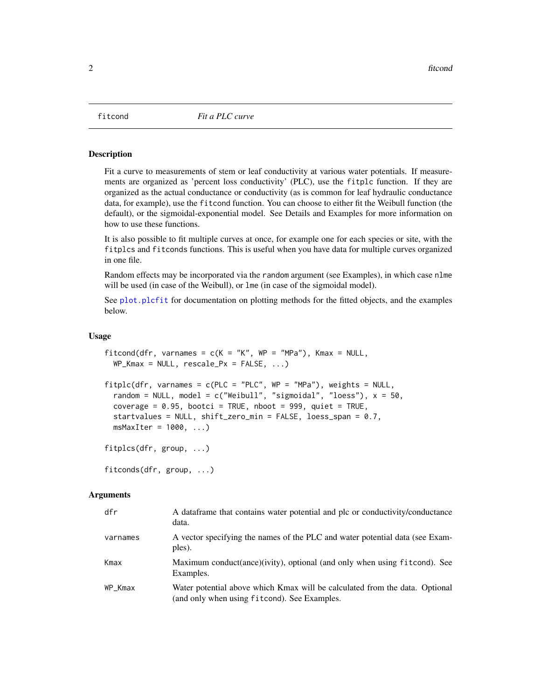<span id="page-1-2"></span><span id="page-1-0"></span>

#### <span id="page-1-1"></span>Description

Fit a curve to measurements of stem or leaf conductivity at various water potentials. If measurements are organized as 'percent loss conductivity' (PLC), use the fitplc function. If they are organized as the actual conductance or conductivity (as is common for leaf hydraulic conductance data, for example), use the fitcond function. You can choose to either fit the Weibull function (the default), or the sigmoidal-exponential model. See Details and Examples for more information on how to use these functions.

It is also possible to fit multiple curves at once, for example one for each species or site, with the fitplcs and fitconds functions. This is useful when you have data for multiple curves organized in one file.

Random effects may be incorporated via the random argument (see Examples), in which case nlme will be used (in case of the Weibull), or lme (in case of the sigmoidal model).

See plot. plcfit for documentation on plotting methods for the fitted objects, and the examples below.

#### Usage

```
fitcond(dfr, varnames = c(K = "K", WP = "MPa"), Kmax = NULL,WP_Kmax = NULL, rescale_Px = FALSE, ...)
fitplc(dfr, varnames = c(PLC = "PLC", WP = "MPa"), weights = NULL,random = NULL, model = c("Weibull", "sigmoidall", "loess"), x = 50,coverage = 0.95, bootci = TRUE, nboot = 999, quiet = TRUE,
  startvalues = NULL, shift_zero_min = FALSE, loess_span = 0.7,
 msMaxIter = 1000, ...)fitplcs(dfr, group, ...)
```
fitconds(dfr, group, ...)

#### **Arguments**

| dfr      | A data frame that contains water potential and plc or conductivity/conductance<br>data.                                     |
|----------|-----------------------------------------------------------------------------------------------------------------------------|
| varnames | A vector specifying the names of the PLC and water potential data (see Exam-<br>ples).                                      |
| Kmax     | Maximum conduct(ance)(ivity), optional (and only when using fitcond). See<br>Examples.                                      |
| WP Kmax  | Water potential above which Kmax will be calculated from the data. Optional<br>(and only when using fitcond). See Examples. |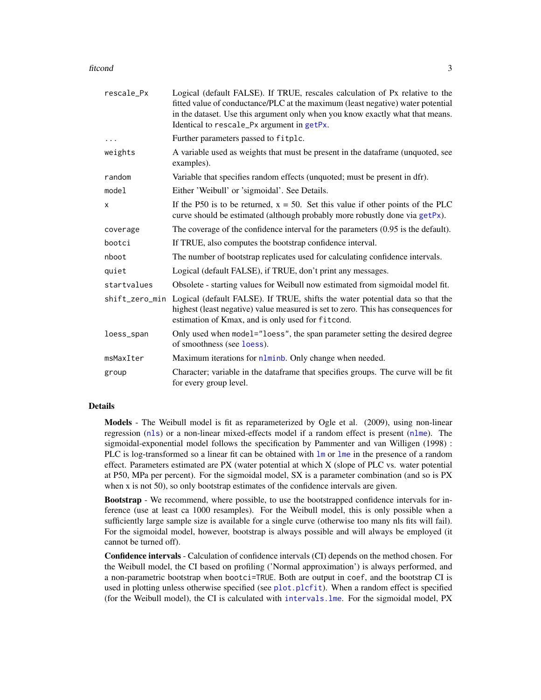#### <span id="page-2-0"></span>fitcond 3

| rescale_Px     | Logical (default FALSE). If TRUE, rescales calculation of Px relative to the<br>fitted value of conductance/PLC at the maximum (least negative) water potential<br>in the dataset. Use this argument only when you know exactly what that means.<br>Identical to rescale_Px argument in getPx. |
|----------------|------------------------------------------------------------------------------------------------------------------------------------------------------------------------------------------------------------------------------------------------------------------------------------------------|
|                | Further parameters passed to fitplc.                                                                                                                                                                                                                                                           |
| weights        | A variable used as weights that must be present in the dataframe (unquoted, see<br>examples).                                                                                                                                                                                                  |
| random         | Variable that specifies random effects (unquoted; must be present in dfr).                                                                                                                                                                                                                     |
| model          | Either 'Weibull' or 'sigmoidal'. See Details.                                                                                                                                                                                                                                                  |
| X              | If the P50 is to be returned, $x = 50$ . Set this value if other points of the PLC<br>curve should be estimated (although probably more robustly done via getPx).                                                                                                                              |
| coverage       | The coverage of the confidence interval for the parameters $(0.95$ is the default).                                                                                                                                                                                                            |
| bootci         | If TRUE, also computes the bootstrap confidence interval.                                                                                                                                                                                                                                      |
| nboot          | The number of bootstrap replicates used for calculating confidence intervals.                                                                                                                                                                                                                  |
| quiet          | Logical (default FALSE), if TRUE, don't print any messages.                                                                                                                                                                                                                                    |
| startvalues    | Obsolete - starting values for Weibull now estimated from sigmoidal model fit.                                                                                                                                                                                                                 |
| shift_zero_min | Logical (default FALSE). If TRUE, shifts the water potential data so that the<br>highest (least negative) value measured is set to zero. This has consequences for<br>estimation of Kmax, and is only used for fitcond.                                                                        |
| loess_span     | Only used when model="loess", the span parameter setting the desired degree<br>of smoothness (see loess).                                                                                                                                                                                      |
| msMaxIter      | Maximum iterations for nlminb. Only change when needed.                                                                                                                                                                                                                                        |
| group          | Character; variable in the dataframe that specifies groups. The curve will be fit<br>for every group level.                                                                                                                                                                                    |

#### Details

Models - The Weibull model is fit as reparameterized by Ogle et al. (2009), using non-linear regression ([nls](#page-0-0)) or a non-linear mixed-effects model if a random effect is present ([nlme](#page-0-0)). The sigmoidal-exponential model follows the specification by Pammenter and van Willigen (1998) : PLC is log-transformed so a linear fit can be obtained with [lm](#page-0-0) or [lme](#page-0-0) in the presence of a random effect. Parameters estimated are PX (water potential at which X (slope of PLC vs. water potential at P50, MPa per percent). For the sigmoidal model, SX is a parameter combination (and so is PX when x is not 50), so only bootstrap estimates of the confidence intervals are given.

Bootstrap - We recommend, where possible, to use the bootstrapped confidence intervals for inference (use at least ca 1000 resamples). For the Weibull model, this is only possible when a sufficiently large sample size is available for a single curve (otherwise too many nls fits will fail). For the sigmoidal model, however, bootstrap is always possible and will always be employed (it cannot be turned off).

Confidence intervals - Calculation of confidence intervals (CI) depends on the method chosen. For the Weibull model, the CI based on profiling ('Normal approximation') is always performed, and a non-parametric bootstrap when bootci=TRUE. Both are output in coef, and the bootstrap CI is used in plotting unless otherwise specified (see [plot.plcfit](#page-7-1)). When a random effect is specified (for the Weibull model), the CI is calculated with [intervals.lme](#page-0-0). For the sigmoidal model, PX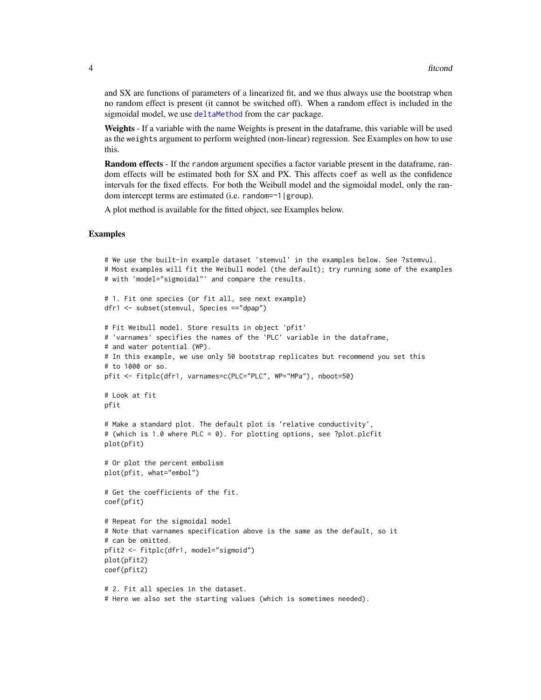<span id="page-3-0"></span>and SX are functions of parameters of a linearized fit, and we thus always use the bootstrap when no random effect is present (it cannot be switched off). When a random effect is included in the sigmoidal model, we use [deltaMethod](#page-0-0) from the car package.

Weights - If a variable with the name Weights is present in the dataframe, this variable will be used as the weights argument to perform weighted (non-linear) regression. See Examples on how to use this.

**Random effects** - If the random argument specifies a factor variable present in the dataframe, random effects will be estimated both for SX and PX. This affects coef as well as the confidence intervals for the fixed effects. For both the Weibull model and the sigmoidal model, only the random intercept terms are estimated (i.e. random=~1|group).

A plot method is available for the fitted object, see Examples below.

#### Examples

```
# We use the built-in example dataset 'stemvul' in the examples below. See ?stemvul.
# Most examples will fit the Weibull model (the default); try running some of the examples
# with 'model="sigmoidal"' and compare the results.
# 1. Fit one species (or fit all, see next example)
dfr1 <- subset(stemvul, Species =="dpap")
# Fit Weibull model. Store results in object 'pfit'
# 'varnames' specifies the names of the 'PLC' variable in the dataframe,
# and water potential (WP).
# In this example, we use only 50 bootstrap replicates but recommend you set this
# to 1000 or so.
pfit <- fitplc(dfr1, varnames=c(PLC="PLC", WP="MPa"), nboot=50)
# Look at fit
pfit
# Make a standard plot. The default plot is 'relative conductivity',
# (which is 1.0 where PLC = 0). For plotting options, see ?plot.plcfit
plot(pfit)
# Or plot the percent embolism
plot(pfit, what="embol")
# Get the coefficients of the fit.
coef(pfit)
# Repeat for the sigmoidal model
# Note that varnames specification above is the same as the default, so it
# can be omitted.
pfit2 <- fitplc(dfr1, model="sigmoid")
plot(pfit2)
coef(pfit2)
# 2. Fit all species in the dataset.
# Here we also set the starting values (which is sometimes needed).
```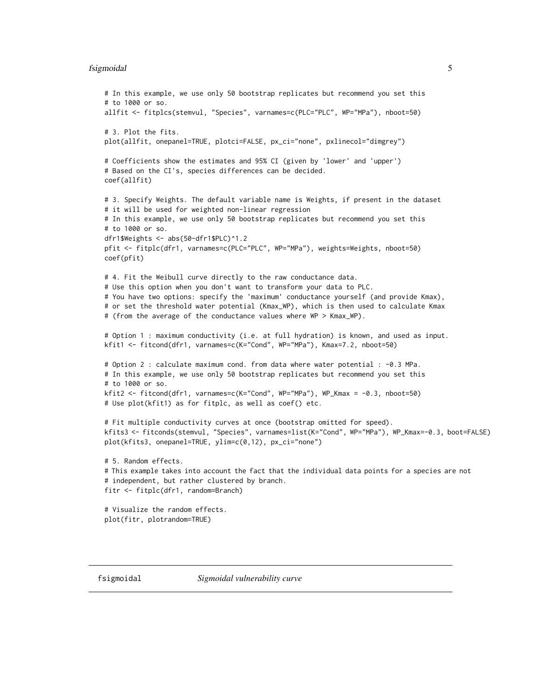#### <span id="page-4-0"></span>fsigmoidal 5

```
# In this example, we use only 50 bootstrap replicates but recommend you set this
# to 1000 or so.
allfit <- fitplcs(stemvul, "Species", varnames=c(PLC="PLC", WP="MPa"), nboot=50)
# 3. Plot the fits.
plot(allfit, onepanel=TRUE, plotci=FALSE, px_ci="none", pxlinecol="dimgrey")
# Coefficients show the estimates and 95% CI (given by 'lower' and 'upper')
# Based on the CI's, species differences can be decided.
coef(allfit)
# 3. Specify Weights. The default variable name is Weights, if present in the dataset
# it will be used for weighted non-linear regression
# In this example, we use only 50 bootstrap replicates but recommend you set this
# to 1000 or so.
dfr1$Weights <- abs(50-dfr1$PLC)^1.2
pfit <- fitplc(dfr1, varnames=c(PLC="PLC", WP="MPa"), weights=Weights, nboot=50)
coef(pfit)
# 4. Fit the Weibull curve directly to the raw conductance data.
# Use this option when you don't want to transform your data to PLC.
# You have two options: specify the 'maximum' conductance yourself (and provide Kmax),
# or set the threshold water potential (Kmax_WP), which is then used to calculate Kmax
# (from the average of the conductance values where WP > Kmax_WP).
# Option 1 : maximum conductivity (i.e. at full hydration) is known, and used as input.
kfit1 <- fitcond(dfr1, varnames=c(K="Cond", WP="MPa"), Kmax=7.2, nboot=50)
# Option 2 : calculate maximum cond. from data where water potential : -0.3 MPa.
# In this example, we use only 50 bootstrap replicates but recommend you set this
# to 1000 or so.
kfit2 <- fitcond(dfr1, varnames=c(K="Cond", WP="MPa"), WP_Kmax = -0.3, nboot=50)
# Use plot(kfit1) as for fitplc, as well as coef() etc.
# Fit multiple conductivity curves at once (bootstrap omitted for speed).
kfits3 <- fitconds(stemvul, "Species", varnames=list(K="Cond", WP="MPa"), WP_Kmax=-0.3, boot=FALSE)
plot(kfits3, onepanel=TRUE, ylim=c(0,12), px_ci="none")
# 5. Random effects.
# This example takes into account the fact that the individual data points for a species are not
# independent, but rather clustered by branch.
fitr <- fitplc(dfr1, random=Branch)
# Visualize the random effects.
plot(fitr, plotrandom=TRUE)
```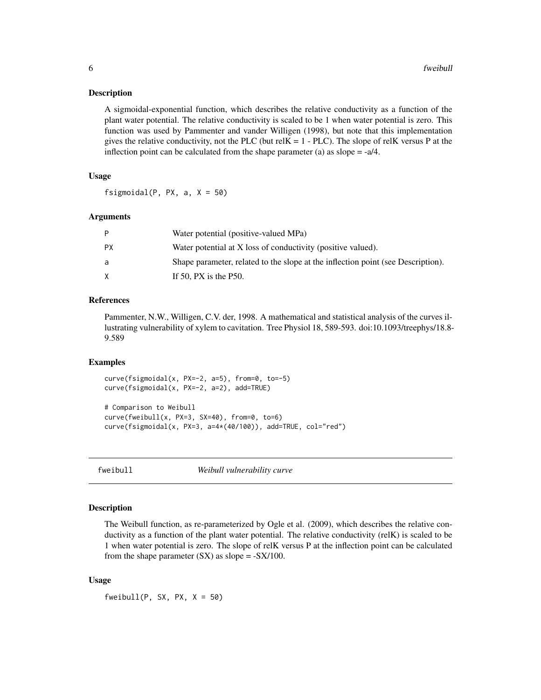#### <span id="page-5-0"></span>**Description**

A sigmoidal-exponential function, which describes the relative conductivity as a function of the plant water potential. The relative conductivity is scaled to be 1 when water potential is zero. This function was used by Pammenter and vander Willigen (1998), but note that this implementation gives the relative conductivity, not the PLC (but relK =  $1$  - PLC). The slope of relK versus P at the inflection point can be calculated from the shape parameter (a) as slope  $= -a/4$ .

#### Usage

fsigmoidal(P, PX, a,  $X = 50$ )

#### Arguments

|    | Water potential (positive-valued MPa)                                            |
|----|----------------------------------------------------------------------------------|
| PХ | Water potential at X loss of conductivity (positive valued).                     |
| a  | Shape parameter, related to the slope at the inflection point (see Description). |
|    | If 50, PX is the $P50$ .                                                         |

#### References

Pammenter, N.W., Willigen, C.V. der, 1998. A mathematical and statistical analysis of the curves illustrating vulnerability of xylem to cavitation. Tree Physiol 18, 589-593. doi:10.1093/treephys/18.8- 9.589

#### Examples

```
curve(fsigmoidal(x, PX=-2, a=5), from=0, to=-5)
curve(fsigmoidal(x, PX=-2, a=2), add=TRUE)
# Comparison to Weibull
curve(fweibull(x, PX=3, SX=40), from=0, to=6)
```
curve(fsigmoidal(x, PX=3, a=4\*(40/100)), add=TRUE, col="red")

fweibull *Weibull vulnerability curve*

#### Description

The Weibull function, as re-parameterized by Ogle et al. (2009), which describes the relative conductivity as a function of the plant water potential. The relative conductivity (relK) is scaled to be 1 when water potential is zero. The slope of relK versus P at the inflection point can be calculated from the shape parameter  $(SX)$  as slope =  $-SX/100$ .

#### Usage

fweibull(P, SX, PX,  $X = 50$ )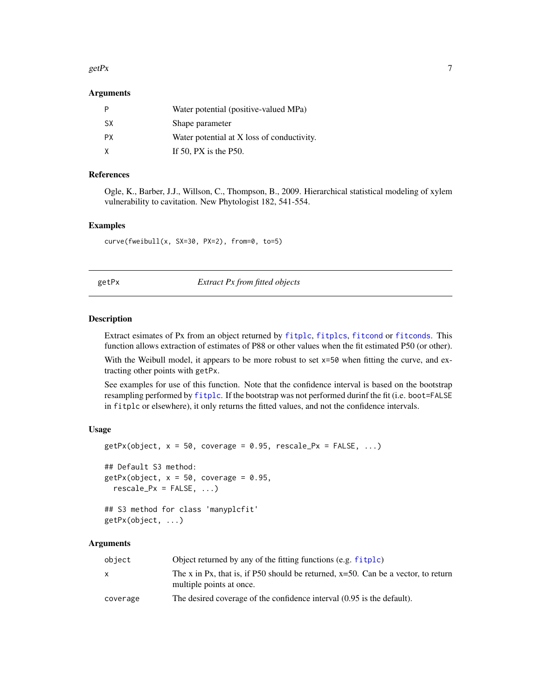#### <span id="page-6-0"></span> $\text{getPx}$  7

#### Arguments

|     | Water potential (positive-valued MPa)      |
|-----|--------------------------------------------|
| SX. | Shape parameter                            |
| PX. | Water potential at X loss of conductivity. |
| X   | If 50, PX is the $P50$ .                   |

#### References

Ogle, K., Barber, J.J., Willson, C., Thompson, B., 2009. Hierarchical statistical modeling of xylem vulnerability to cavitation. New Phytologist 182, 541-554.

#### Examples

curve(fweibull(x, SX=30, PX=2), from=0, to=5)

<span id="page-6-1"></span>getPx *Extract Px from fitted objects*

#### Description

Extract esimates of Px from an object returned by [fitplc](#page-1-1), [fitplcs](#page-1-1), [fitcond](#page-1-2) or [fitconds](#page-1-1). This function allows extraction of estimates of P88 or other values when the fit estimated P50 (or other).

With the Weibull model, it appears to be more robust to set  $x=50$  when fitting the curve, and extracting other points with getPx.

See examples for use of this function. Note that the confidence interval is based on the bootstrap resampling performed by [fitplc](#page-1-1). If the bootstrap was not performed durinf the fit (i.e. boot=FALSE in fitplc or elsewhere), it only returns the fitted values, and not the confidence intervals.

#### Usage

```
getPx(object, x = 50, coverage = 0.95, rescale_Px = FALSE, ...)## Default S3 method:
getPx(object, x = 50, coverage = 0.95,
  rescale_Px = FALSE, ...)## S3 method for class 'manyplcfit'
getPx(object, ...)
```
#### Arguments

| object   | Object returned by any of the fitting functions (e.g. fitplc)                                                    |
|----------|------------------------------------------------------------------------------------------------------------------|
| x        | The x in Px, that is, if P50 should be returned, $x=50$ . Can be a vector, to return<br>multiple points at once. |
| coverage | The desired coverage of the confidence interval (0.95 is the default).                                           |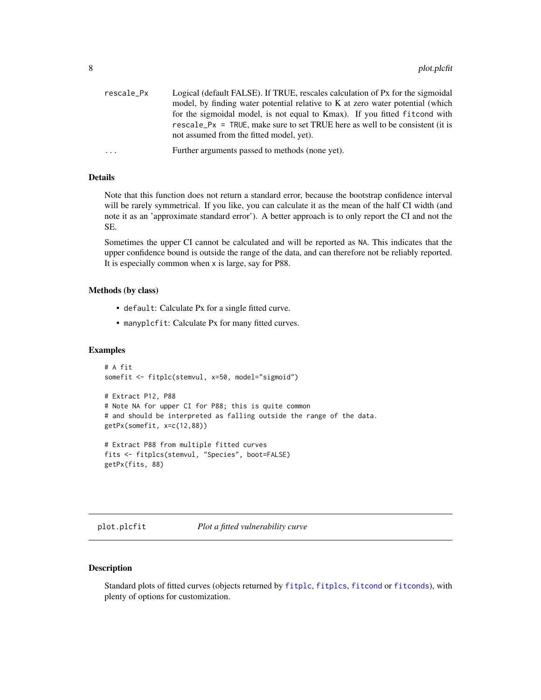<span id="page-7-0"></span>

| rescale_Px | Logical (default FALSE). If TRUE, rescales calculation of Px for the sigmoidal |
|------------|--------------------------------------------------------------------------------|
|            | model, by finding water potential relative to K at zero water potential (which |
|            | for the sigmoidal model, is not equal to Kmax). If you fitted fit cond with    |
|            | rescale_Px = TRUE, make sure to set TRUE here as well to be consistent (it is  |
|            | not assumed from the fitted model, yet).                                       |
| $\cdots$   | Further arguments passed to methods (none yet).                                |

#### Details

Note that this function does not return a standard error, because the bootstrap confidence interval will be rarely symmetrical. If you like, you can calculate it as the mean of the half CI width (and note it as an 'approximate standard error'). A better approach is to only report the CI and not the SE.

Sometimes the upper CI cannot be calculated and will be reported as NA. This indicates that the upper confidence bound is outside the range of the data, and can therefore not be reliably reported. It is especially common when x is large, say for P88.

#### Methods (by class)

- default: Calculate Px for a single fitted curve.
- manyplcfit: Calculate Px for many fitted curves.

#### Examples

```
# A fit
somefit <- fitplc(stemvul, x=50, model="sigmoid")
# Extract P12, P88
# Note NA for upper CI for P88; this is quite common
# and should be interpreted as falling outside the range of the data.
getPx(somefit, x=c(12,88))
# Extract P88 from multiple fitted curves
fits <- fitplcs(stemvul, "Species", boot=FALSE)
```

```
getPx(fits, 88)
```
<span id="page-7-1"></span>plot.plcfit *Plot a fitted vulnerability curve*

#### Description

Standard plots of fitted curves (objects returned by [fitplc](#page-1-1), [fitplcs](#page-1-1), [fitcond](#page-1-2) or [fitconds](#page-1-1)), with plenty of options for customization.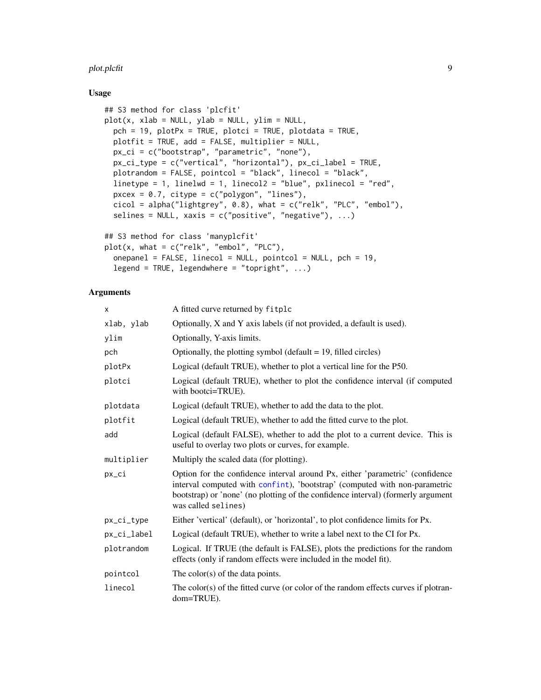#### <span id="page-8-0"></span>plot.plcfit 9

#### Usage

```
## S3 method for class 'plcfit'
plot(x, xlab = NULL, ylab = NULL, ylim = NULL,pch = 19, plotPx = TRUE, plotci = TRUE, plotdata = TRUE,
 plotfit = TRUE, add = FALSE, multiplier = NULL,
 px_ci = c("bootstrap", "parametric", "none"),
 px_ci_type = c("vertical", "horizontal"), px_ci_label = TRUE,
 plotrandom = FALSE, pointcol = "black", linecol = "black",
  linetype = 1, linelwd = 1, linecol2 = "blue", pxlinecol = "red",
 pxcex = 0.7, citype = c("polygon", "lines"),
 cicol = alpha("lightgrey", 0.8), what = c("relk", "PLC", "embol"),
  selines = NULL, xaxis = c("positive", "negative"), ...## S3 method for class 'manyplcfit'
plot(x, what = c("relk", "embol", "PLC"),
  onepanel = FALSE, linecol = NULL, pointcol = NULL, pch = 19,
  legend = TRUE, legendwhere = "topright", ...)
```
#### Arguments

| x           | A fitted curve returned by fitplc                                                                                                                                                                                                                                      |
|-------------|------------------------------------------------------------------------------------------------------------------------------------------------------------------------------------------------------------------------------------------------------------------------|
| xlab, ylab  | Optionally, X and Y axis labels (if not provided, a default is used).                                                                                                                                                                                                  |
| ylim        | Optionally, Y-axis limits.                                                                                                                                                                                                                                             |
| pch         | Optionally, the plotting symbol (default $= 19$ , filled circles)                                                                                                                                                                                                      |
| plotPx      | Logical (default TRUE), whether to plot a vertical line for the P50.                                                                                                                                                                                                   |
| plotci      | Logical (default TRUE), whether to plot the confidence interval (if computed<br>with bootci=TRUE).                                                                                                                                                                     |
| plotdata    | Logical (default TRUE), whether to add the data to the plot.                                                                                                                                                                                                           |
| plotfit     | Logical (default TRUE), whether to add the fitted curve to the plot.                                                                                                                                                                                                   |
| add         | Logical (default FALSE), whether to add the plot to a current device. This is<br>useful to overlay two plots or curves, for example.                                                                                                                                   |
| multiplier  | Multiply the scaled data (for plotting).                                                                                                                                                                                                                               |
| px_ci       | Option for the confidence interval around Px, either 'parametric' (confidence<br>interval computed with confint), 'bootstrap' (computed with non-parametric<br>bootstrap) or 'none' (no plotting of the confidence interval) (formerly argument<br>was called selines) |
| px_ci_type  | Either 'vertical' (default), or 'horizontal', to plot confidence limits for Px.                                                                                                                                                                                        |
| px_ci_label | Logical (default TRUE), whether to write a label next to the CI for Px.                                                                                                                                                                                                |
| plotrandom  | Logical. If TRUE (the default is FALSE), plots the predictions for the random<br>effects (only if random effects were included in the model fit).                                                                                                                      |
| pointcol    | The color(s) of the data points.                                                                                                                                                                                                                                       |
| linecol     | The color(s) of the fitted curve (or color of the random effects curves if plotran-<br>dom=TRUE).                                                                                                                                                                      |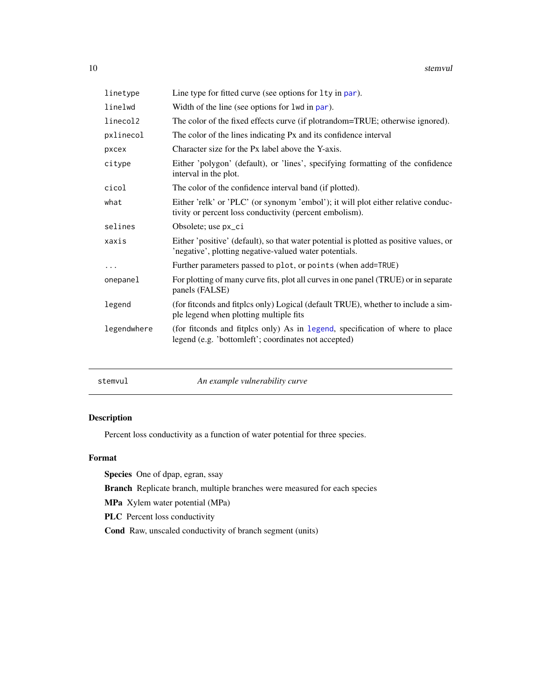<span id="page-9-0"></span>

| linetype    | Line type for fitted curve (see options for 1ty in par).                                                                                         |
|-------------|--------------------------------------------------------------------------------------------------------------------------------------------------|
| linelwd     | Width of the line (see options for 1wd in par).                                                                                                  |
| linecol2    | The color of the fixed effects curve (if plotrandom=TRUE; otherwise ignored).                                                                    |
| pxlinecol   | The color of the lines indicating Px and its confidence interval                                                                                 |
| pxcex       | Character size for the Px label above the Y-axis.                                                                                                |
| citype      | Either 'polygon' (default), or 'lines', specifying formatting of the confidence<br>interval in the plot.                                         |
| cicol       | The color of the confidence interval band (if plotted).                                                                                          |
| what        | Either 'relk' or 'PLC' (or synonym 'embol'); it will plot either relative conduc-<br>tivity or percent loss conductivity (percent embolism).     |
| selines     | Obsolete; use px_ci                                                                                                                              |
| xaxis       | Either 'positive' (default), so that water potential is plotted as positive values, or<br>'negative', plotting negative-valued water potentials. |
| $\cdots$    | Further parameters passed to plot, or points (when add=TRUE)                                                                                     |
| onepanel    | For plotting of many curve fits, plot all curves in one panel (TRUE) or in separate<br>panels (FALSE)                                            |
| legend      | (for fitconds and fitplcs only) Logical (default TRUE), whether to include a sim-<br>ple legend when plotting multiple fits                      |
| legendwhere | (for fitconds and fitplcs only) As in legend, specification of where to place<br>legend (e.g. 'bottomleft'; coordinates not accepted)            |

| stemvul |  |  |
|---------|--|--|
|         |  |  |

stemvul *An example vulnerability curve*

#### Description

Percent loss conductivity as a function of water potential for three species.

#### Format

Species One of dpap, egran, ssay

Branch Replicate branch, multiple branches were measured for each species

MPa Xylem water potential (MPa)

PLC Percent loss conductivity

Cond Raw, unscaled conductivity of branch segment (units)